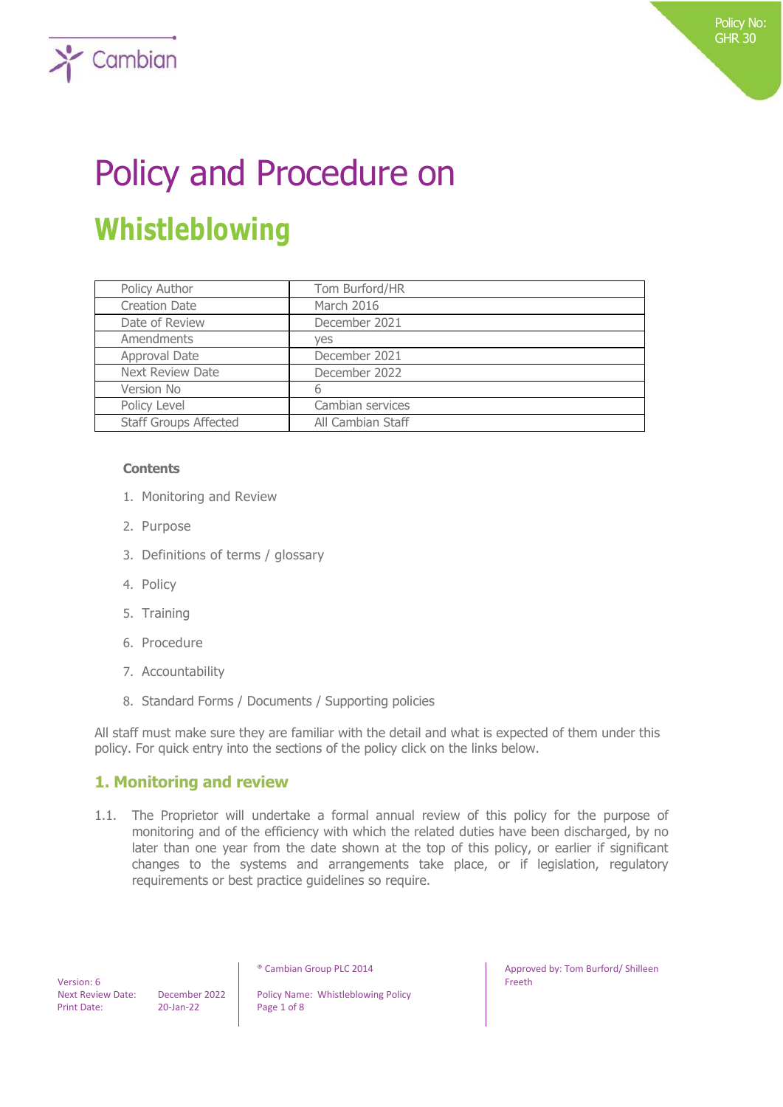# Policy and Procedure on **Whistleblowing**

| Policy Author                | Tom Burford/HR    |
|------------------------------|-------------------|
| <b>Creation Date</b>         | March 2016        |
| Date of Review               | December 2021     |
| Amendments                   | yes               |
| Approval Date                | December 2021     |
| <b>Next Review Date</b>      | December 2022     |
| Version No                   | b                 |
| Policy Level                 | Cambian services  |
| <b>Staff Groups Affected</b> | All Cambian Staff |

#### **Contents**

 $\sum$  Cambian

- 1. Monitoring and Review
- 2. Purpose
- 3. Definitions of terms / glossary
- 4. Policy
- 5. Training
- 6. Procedure
- 7. Accountability
- 8. Standard Forms / Documents / Supporting policies

All staff must make sure they are familiar with the detail and what is expected of them under this policy. For quick entry into the sections of the policy click on the links below.

## **1. Monitoring and review**

1.1. The Proprietor will undertake a formal annual review of this policy for the purpose of monitoring and of the efficiency with which the related duties have been discharged, by no later than one year from the date shown at the top of this policy, or earlier if significant changes to the systems and arrangements take place, or if legislation, regulatory requirements or best practice guidelines so require.

 Version: 6 Print Date: 20-Jan-22 Page 1 of 8

Next Review Date: December 2022 | Policy Name: Whistleblowing Policy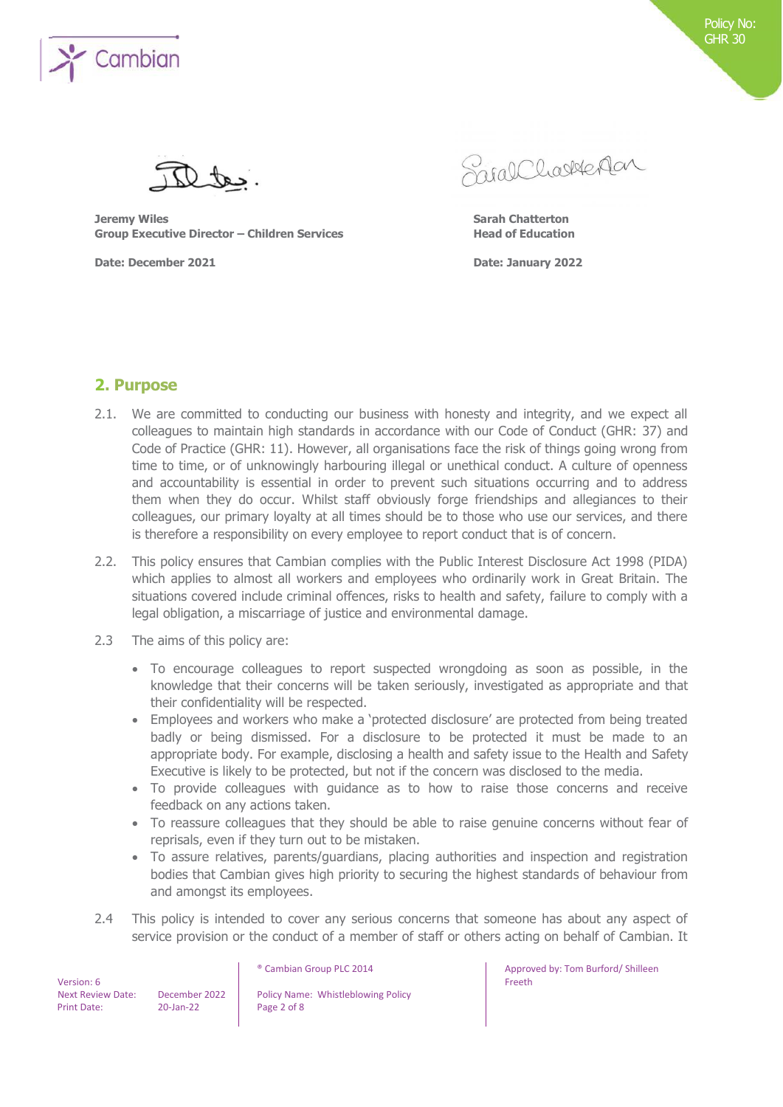

**Jeremy Wiles Sarah Chatterton Group Executive Director – Children Services Head of Education**

**Date: December 2021 Date: January 2022**

Saral Charlester

#### **2. Purpose**

- 2.1. We are committed to conducting our business with honesty and integrity, and we expect all colleagues to maintain high standards in accordance with our Code of Conduct (GHR: 37) and Code of Practice (GHR: 11). However, all organisations face the risk of things going wrong from time to time, or of unknowingly harbouring illegal or unethical conduct. A culture of openness and accountability is essential in order to prevent such situations occurring and to address them when they do occur. Whilst staff obviously forge friendships and allegiances to their colleagues, our primary loyalty at all times should be to those who use our services, and there is therefore a responsibility on every employee to report conduct that is of concern.
- 2.2. This policy ensures that Cambian complies with the Public Interest Disclosure Act 1998 (PIDA) which applies to almost all workers and employees who ordinarily work in Great Britain. The situations covered include criminal offences, risks to health and safety, failure to comply with a legal obligation, a miscarriage of justice and environmental damage.
- 2.3 The aims of this policy are:
	- To encourage colleagues to report suspected wrongdoing as soon as possible, in the knowledge that their concerns will be taken seriously, investigated as appropriate and that their confidentiality will be respected.
	- Employees and workers who make a 'protected disclosure' are protected from being treated badly or being dismissed. For a disclosure to be protected it must be made to an appropriate body. For example, disclosing a health and safety issue to the Health and Safety Executive is likely to be protected, but not if the concern was disclosed to the media.
	- To provide colleagues with guidance as to how to raise those concerns and receive feedback on any actions taken.
	- To reassure colleagues that they should be able to raise genuine concerns without fear of reprisals, even if they turn out to be mistaken.
	- To assure relatives, parents/guardians, placing authorities and inspection and registration bodies that Cambian gives high priority to securing the highest standards of behaviour from and amongst its employees.
- 2.4 This policy is intended to cover any serious concerns that someone has about any aspect of service provision or the conduct of a member of staff or others acting on behalf of Cambian. It

 Version: 6 Print Date: 20-Jan-22 Page 2 of 8

Next Review Date: December 2022 | Policy Name: Whistleblowing Policy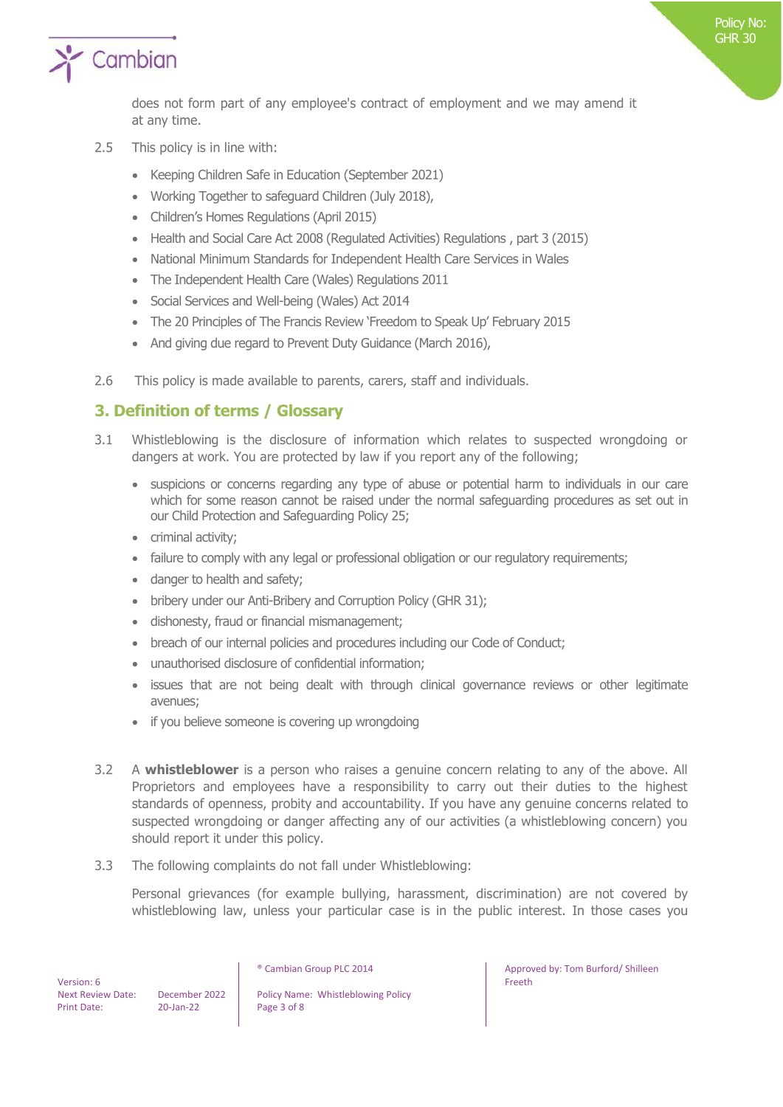

does not form part of any employee's contract of employment and we may amend it at any time.

- 2.5 This policy is in line with:
	- Keeping Children Safe in Education (September 2021)
	- Working Together to safeguard Children (July 2018),
	- Children's Homes Regulations (April 2015)
	- Health and Social Care Act 2008 (Regulated Activities) Regulations , part 3 (2015)
	- National Minimum Standards for Independent Health Care Services in Wales
	- The Independent Health Care (Wales) Regulations 2011
	- Social Services and Well-being (Wales) Act 2014
	- The 20 Principles of The Francis Review 'Freedom to Speak Up' February 2015
	- And giving due regard to Prevent Duty Guidance (March 2016),
- 2.6 This policy is made available to parents, carers, staff and individuals.

## **3. Definition of terms / Glossary**

- 3.1 Whistleblowing is the disclosure of information which relates to suspected wrongdoing or dangers at work. You are protected by law if you report any of the following;
	- suspicions or concerns regarding any type of abuse or potential harm to individuals in our care which for some reason cannot be raised under the normal safeguarding procedures as set out in our Child Protection and Safeguarding Policy 25;
	- criminal activity;
	- failure to comply with any legal or professional obligation or our regulatory requirements;
	- danger to health and safety;
	- bribery under our Anti-Bribery and Corruption Policy (GHR 31);
	- dishonesty, fraud or financial mismanagement;
	- breach of our internal policies and procedures including our Code of Conduct;
	- unauthorised disclosure of confidential information;
	- issues that are not being dealt with through clinical governance reviews or other legitimate avenues;
	- if you believe someone is covering up wrongdoing
- 3.2 A **whistleblower** is a person who raises a genuine concern relating to any of the above. All Proprietors and employees have a responsibility to carry out their duties to the highest standards of openness, probity and accountability. If you have any genuine concerns related to suspected wrongdoing or danger affecting any of our activities (a whistleblowing concern) you should report it under this policy.
- 3.3 The following complaints do not fall under Whistleblowing:

Personal grievances (for example bullying, harassment, discrimination) are not covered by whistleblowing law, unless your particular case is in the public interest. In those cases you

Next Review Date: December 2022 | Policy Name: Whistleblowing Policy

® Cambian Group PLC 2014 **Approved by: Tom Burford/ Shilleen** Freeth

Policy No: GHR 30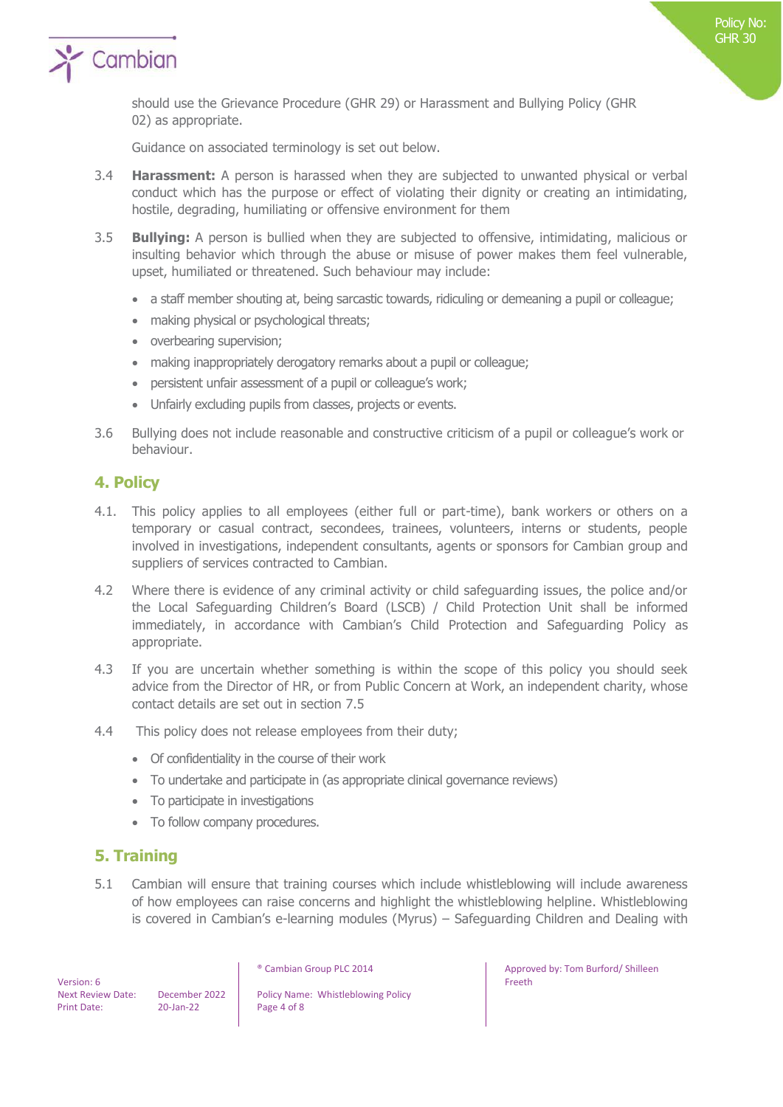

should use the Grievance Procedure (GHR 29) or Harassment and Bullying Policy (GHR 02) as appropriate.

Guidance on associated terminology is set out below.

- 3.4 **Harassment:** A person is harassed when they are subjected to unwanted physical or verbal conduct which has the purpose or effect of violating their dignity or creating an intimidating, hostile, degrading, humiliating or offensive environment for them
- 3.5 **Bullying:** A person is bullied when they are subjected to offensive, intimidating, malicious or insulting behavior which through the abuse or misuse of power makes them feel vulnerable, upset, humiliated or threatened. Such behaviour may include:
	- a staff member shouting at, being sarcastic towards, ridiculing or demeaning a pupil or colleague;
	- making physical or psychological threats;
	- overbearing supervision;
	- making inappropriately derogatory remarks about a pupil or colleague;
	- persistent unfair assessment of a pupil or colleague's work;
	- Unfairly excluding pupils from classes, projects or events.
- 3.6 Bullying does not include reasonable and constructive criticism of a pupil or colleague's work or behaviour.

## **4. Policy**

- 4.1. This policy applies to all employees (either full or part-time), bank workers or others on a temporary or casual contract, secondees, trainees, volunteers, interns or students, people involved in investigations, independent consultants, agents or sponsors for Cambian group and suppliers of services contracted to Cambian.
- 4.2 Where there is evidence of any criminal activity or child safeguarding issues, the police and/or the Local Safeguarding Children's Board (LSCB) / Child Protection Unit shall be informed immediately, in accordance with Cambian's Child Protection and Safeguarding Policy as appropriate.
- 4.3 If you are uncertain whether something is within the scope of this policy you should seek advice from the Director of HR, or from Public Concern at Work, an independent charity, whose contact details are set out in section 7.5
- 4.4 This policy does not release employees from their duty;
	- Of confidentiality in the course of their work
	- To undertake and participate in (as appropriate clinical governance reviews)
	- To participate in investigations
	- To follow company procedures.

# **5. Training**

5.1 Cambian will ensure that training courses which include whistleblowing will include awareness of how employees can raise concerns and highlight the whistleblowing helpline. Whistleblowing is covered in Cambian's e-learning modules (Myrus) – Safeguarding Children and Dealing with

 Version: 6 Print Date: 20-Jan-22 Page 4 of 8

Next Review Date: December 2022 | Policy Name: Whistleblowing Policy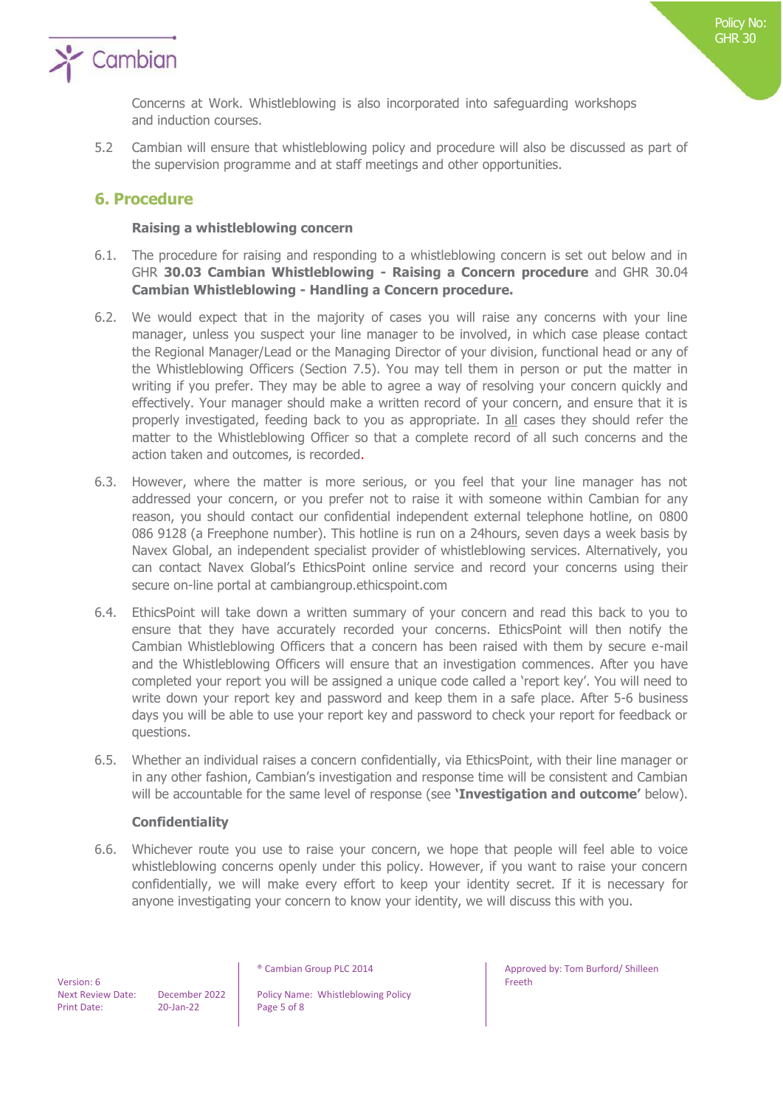

Concerns at Work. Whistleblowing is also incorporated into safeguarding workshops and induction courses.

5.2 Cambian will ensure that whistleblowing policy and procedure will also be discussed as part of the supervision programme and at staff meetings and other opportunities.

## **6. Procedure**

#### **Raising a whistleblowing concern**

- 6.1. The procedure for raising and responding to a whistleblowing concern is set out below and in GHR **30.03 Cambian Whistleblowing - Raising a Concern procedure** and GHR 30.04 **Cambian Whistleblowing - Handling a Concern procedure.**
- 6.2. We would expect that in the majority of cases you will raise any concerns with your line manager, unless you suspect your line manager to be involved, in which case please contact the Regional Manager/Lead or the Managing Director of your division, functional head or any of the Whistleblowing Officers (Section 7.5). You may tell them in person or put the matter in writing if you prefer. They may be able to agree a way of resolving your concern quickly and effectively. Your manager should make a written record of your concern, and ensure that it is properly investigated, feeding back to you as appropriate. In all cases they should refer the matter to the Whistleblowing Officer so that a complete record of all such concerns and the action taken and outcomes, is recorded.
- 6.3. However, where the matter is more serious, or you feel that your line manager has not addressed your concern, or you prefer not to raise it with someone within Cambian for any reason, you should contact our confidential independent external telephone hotline, on 0800 086 9128 (a Freephone number). This hotline is run on a 24hours, seven days a week basis by Navex Global, an independent specialist provider of whistleblowing services. Alternatively, you can contact Navex Global's EthicsPoint online service and record your concerns using their secure on-line portal at cambiangroup.ethicspoint.com
- 6.4. EthicsPoint will take down a written summary of your concern and read this back to you to ensure that they have accurately recorded your concerns. EthicsPoint will then notify the Cambian Whistleblowing Officers that a concern has been raised with them by secure e-mail and the Whistleblowing Officers will ensure that an investigation commences. After you have completed your report you will be assigned a unique code called a 'report key'. You will need to write down your report key and password and keep them in a safe place. After 5-6 business days you will be able to use your report key and password to check your report for feedback or questions.
- 6.5. Whether an individual raises a concern confidentially, via EthicsPoint, with their line manager or in any other fashion, Cambian's investigation and response time will be consistent and Cambian will be accountable for the same level of response (see **'Investigation and outcome'** below).

#### **Confidentiality**

6.6. Whichever route you use to raise your concern, we hope that people will feel able to voice whistleblowing concerns openly under this policy. However, if you want to raise your concern confidentially, we will make every effort to keep your identity secret. If it is necessary for anyone investigating your concern to know your identity, we will discuss this with you.

 Version: 6 Print Date: 20-Jan-22 Page 5 of 8

Next Review Date: December 2022 | Policy Name: Whistleblowing Policy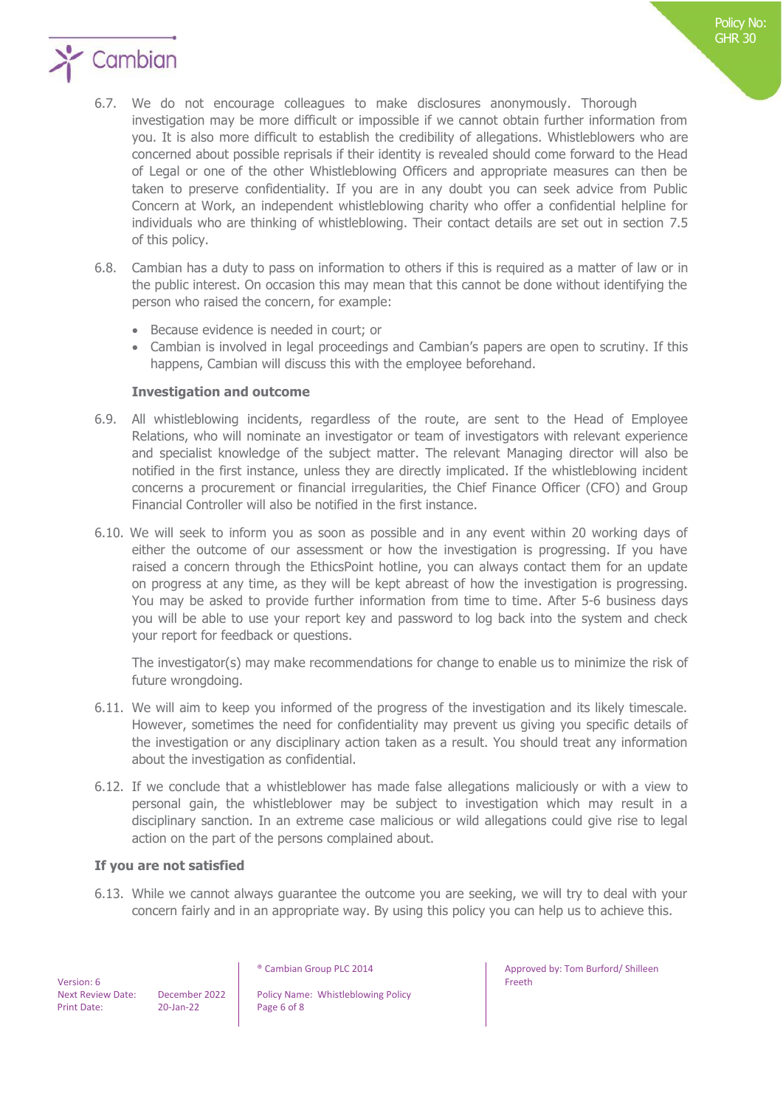

- 6.7. We do not encourage colleagues to make disclosures anonymously. Thorough investigation may be more difficult or impossible if we cannot obtain further information from you. It is also more difficult to establish the credibility of allegations. Whistleblowers who are concerned about possible reprisals if their identity is revealed should come forward to the Head of Legal or one of the other Whistleblowing Officers and appropriate measures can then be taken to preserve confidentiality. If you are in any doubt you can seek advice from Public Concern at Work, an independent whistleblowing charity who offer a confidential helpline for individuals who are thinking of whistleblowing. Their contact details are set out in section 7.5 of this policy.
- 6.8. Cambian has a duty to pass on information to others if this is required as a matter of law or in the public interest. On occasion this may mean that this cannot be done without identifying the person who raised the concern, for example:
	- Because evidence is needed in court; or
	- Cambian is involved in legal proceedings and Cambian's papers are open to scrutiny. If this happens, Cambian will discuss this with the employee beforehand.

#### **Investigation and outcome**

- 6.9. All whistleblowing incidents, regardless of the route, are sent to the Head of Employee Relations, who will nominate an investigator or team of investigators with relevant experience and specialist knowledge of the subject matter. The relevant Managing director will also be notified in the first instance, unless they are directly implicated. If the whistleblowing incident concerns a procurement or financial irregularities, the Chief Finance Officer (CFO) and Group Financial Controller will also be notified in the first instance.
- 6.10. We will seek to inform you as soon as possible and in any event within 20 working days of either the outcome of our assessment or how the investigation is progressing. If you have raised a concern through the EthicsPoint hotline, you can always contact them for an update on progress at any time, as they will be kept abreast of how the investigation is progressing. You may be asked to provide further information from time to time. After 5-6 business days you will be able to use your report key and password to log back into the system and check your report for feedback or questions.

The investigator(s) may make recommendations for change to enable us to minimize the risk of future wrongdoing.

- 6.11. We will aim to keep you informed of the progress of the investigation and its likely timescale. However, sometimes the need for confidentiality may prevent us giving you specific details of the investigation or any disciplinary action taken as a result. You should treat any information about the investigation as confidential.
- 6.12. If we conclude that a whistleblower has made false allegations maliciously or with a view to personal gain, the whistleblower may be subject to investigation which may result in a disciplinary sanction. In an extreme case malicious or wild allegations could give rise to legal action on the part of the persons complained about.

#### **If you are not satisfied**

6.13. While we cannot always guarantee the outcome you are seeking, we will try to deal with your concern fairly and in an appropriate way. By using this policy you can help us to achieve this.

Next Review Date: December 2022 | Policy Name: Whistleblowing Policy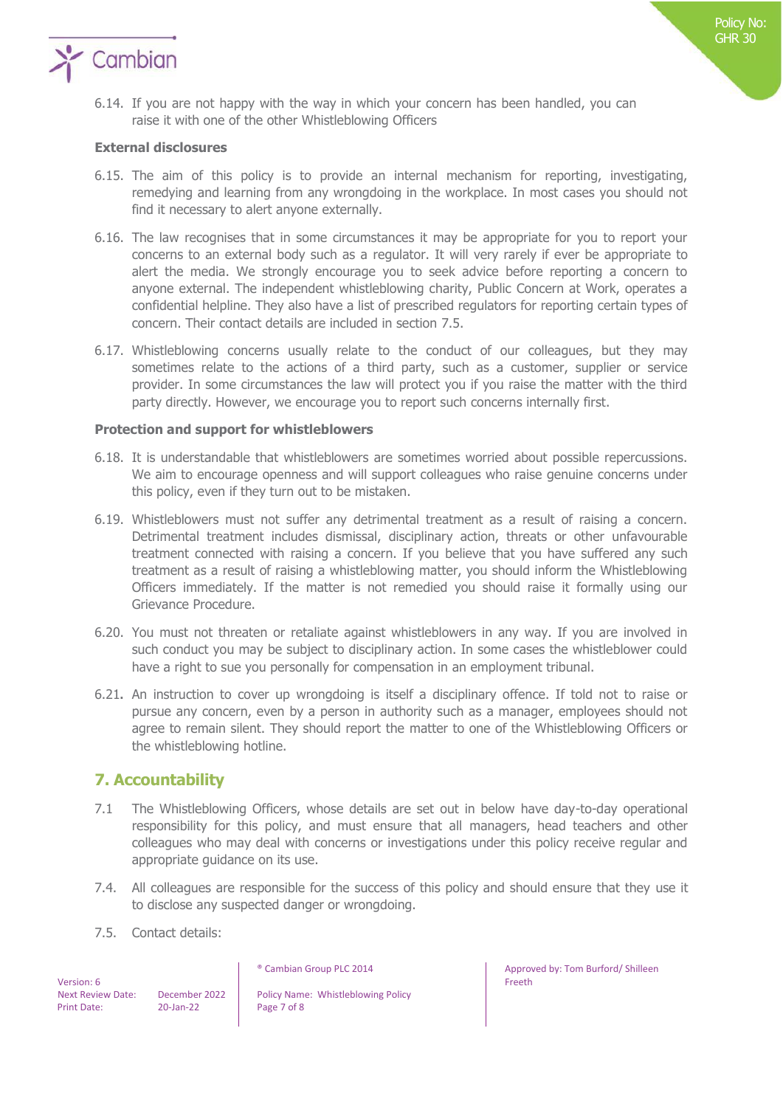

6.14. If you are not happy with the way in which your concern has been handled, you can raise it with one of the other Whistleblowing Officers

#### **External disclosures**

- 6.15. The aim of this policy is to provide an internal mechanism for reporting, investigating, remedying and learning from any wrongdoing in the workplace. In most cases you should not find it necessary to alert anyone externally.
- 6.16. The law recognises that in some circumstances it may be appropriate for you to report your concerns to an external body such as a regulator. It will very rarely if ever be appropriate to alert the media. We strongly encourage you to seek advice before reporting a concern to anyone external. The independent whistleblowing charity, Public Concern at Work, operates a confidential helpline. They also have a list of prescribed regulators for reporting certain types of concern. Their contact details are included in section 7.5.
- 6.17. Whistleblowing concerns usually relate to the conduct of our colleagues, but they may sometimes relate to the actions of a third party, such as a customer, supplier or service provider. In some circumstances the law will protect you if you raise the matter with the third party directly. However, we encourage you to report such concerns internally first.

#### **Protection and support for whistleblowers**

- 6.18. It is understandable that whistleblowers are sometimes worried about possible repercussions. We aim to encourage openness and will support colleagues who raise genuine concerns under this policy, even if they turn out to be mistaken.
- 6.19. Whistleblowers must not suffer any detrimental treatment as a result of raising a concern. Detrimental treatment includes dismissal, disciplinary action, threats or other unfavourable treatment connected with raising a concern. If you believe that you have suffered any such treatment as a result of raising a whistleblowing matter, you should inform the Whistleblowing Officers immediately. If the matter is not remedied you should raise it formally using our Grievance Procedure.
- 6.20. You must not threaten or retaliate against whistleblowers in any way. If you are involved in such conduct you may be subject to disciplinary action. In some cases the whistleblower could have a right to sue you personally for compensation in an employment tribunal.
- 6.21**.** An instruction to cover up wrongdoing is itself a disciplinary offence. If told not to raise or pursue any concern, even by a person in authority such as a manager, employees should not agree to remain silent. They should report the matter to one of the Whistleblowing Officers or the whistleblowing hotline.

## **7. Accountability**

- 7.1 The Whistleblowing Officers, whose details are set out in below have day-to-day operational responsibility for this policy, and must ensure that all managers, head teachers and other colleagues who may deal with concerns or investigations under this policy receive regular and appropriate guidance on its use.
- 7.4. All colleagues are responsible for the success of this policy and should ensure that they use it to disclose any suspected danger or wrongdoing.
- 7.5. Contact details:

 Version: 6 Print Date: 20-Jan-22 Page 7 of 8

Next Review Date: December 2022 | Policy Name: Whistleblowing Policy